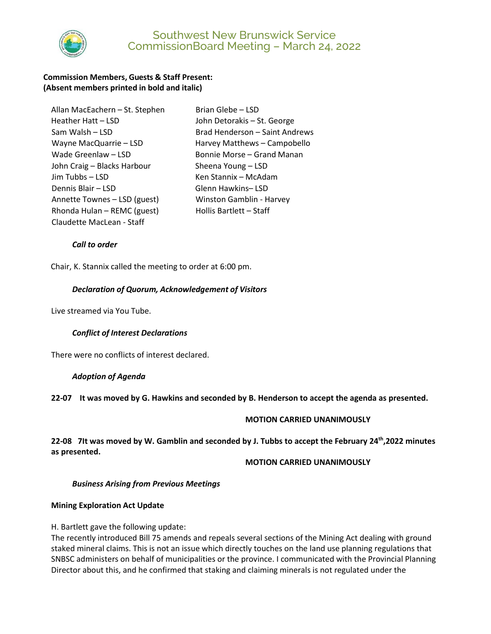

# Southwest New Brunswick Service CommissionBoard Meeting – March 24, 2022

## **Commission Members, Guests & Staff Present: (Absent members printed in bold and italic)**

| Allan MacEachern - St. Stephen |
|--------------------------------|
| Heather Hatt - LSD             |
| Sam Walsh – LSD                |
| Wayne MacQuarrie - LSD         |
| Wade Greenlaw - LSD            |
| John Craig - Blacks Harbour    |
| Jim Tubbs - LSD                |
| Dennis Blair - LSD             |
| Annette Townes - LSD (guest)   |
| Rhonda Hulan - REMC (guest)    |
| Claudette MacLean - Staff      |

Brian Glebe – LSD John Detorakis – St. George Brad Henderson – Saint Andrews Harvey Matthews – Campobello Bonnie Morse – Grand Manan Sheena Young – LSD Ken Stannix – McAdam Glenn Hawkins– LSD **Winston Gamblin - Harvey** Hollis Bartlett – Staff

## *Call to order*

Chair, K. Stannix called the meeting to order at 6:00 pm.

#### *Declaration of Quorum, Acknowledgement of Visitors*

Live streamed via You Tube.

## *Conflict of Interest Declarations*

There were no conflicts of interest declared.

#### *Adoption of Agenda*

**22-07 It was moved by G. Hawkins and seconded by B. Henderson to accept the agenda as presented.** 

#### **MOTION CARRIED UNANIMOUSLY**

**22-08 7It was moved by W. Gamblin and seconded by J. Tubbs to accept the February 24th ,2022 minutes as presented.**

#### **MOTION CARRIED UNANIMOUSLY**

#### *Business Arising from Previous Meetings*

#### **Mining Exploration Act Update**

H. Bartlett gave the following update:

The recently introduced Bill 75 amends and repeals several sections of the Mining Act dealing with ground staked mineral claims. This is not an issue which directly touches on the land use planning regulations that SNBSC administers on behalf of municipalities or the province. I communicated with the Provincial Planning Director about this, and he confirmed that staking and claiming minerals is not regulated under the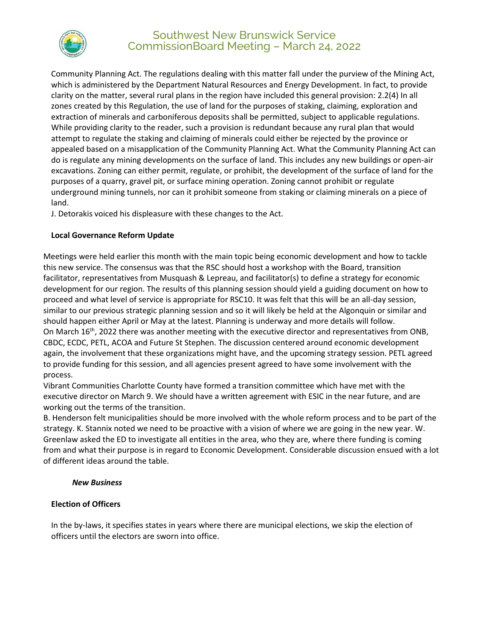

# Southwest New Brunswick Service CommissionBoard Meeting – March 24, 2022

Community Planning Act. The regulations dealing with this matter fall under the purview of the Mining Act, which is administered by the Department Natural Resources and Energy Development. In fact, to provide clarity on the matter, several rural plans in the region have included this general provision: 2.2(4) In all zones created by this Regulation, the use of land for the purposes of staking, claiming, exploration and extraction of minerals and carboniferous deposits shall be permitted, subject to applicable regulations. While providing clarity to the reader, such a provision is redundant because any rural plan that would attempt to regulate the staking and claiming of minerals could either be rejected by the province or appealed based on a misapplication of the Community Planning Act. What the Community Planning Act can do is regulate any mining developments on the surface of land. This includes any new buildings or open-air excavations. Zoning can either permit, regulate, or prohibit, the development of the surface of land for the purposes of a quarry, gravel pit, or surface mining operation. Zoning cannot prohibit or regulate underground mining tunnels, nor can it prohibit someone from staking or claiming minerals on a piece of land.

J. Detorakis voiced his displeasure with these changes to the Act.

## **Local Governance Reform Update**

Meetings were held earlier this month with the main topic being economic development and how to tackle this new service. The consensus was that the RSC should host a workshop with the Board, transition facilitator, representatives from Musquash & Lepreau, and facilitator(s) to define a strategy for economic development for our region. The results of this planning session should yield a guiding document on how to proceed and what level of service is appropriate for RSC10. It was felt that this will be an all-day session, similar to our previous strategic planning session and so it will likely be held at the Algonquin or similar and should happen either April or May at the latest. Planning is underway and more details will follow. On March 16th, 2022 there was another meeting with the executive director and representatives from ONB, CBDC, ECDC, PETL, ACOA and Future St Stephen. The discussion centered around economic development again, the involvement that these organizations might have, and the upcoming strategy session. PETL agreed to provide funding for this session, and all agencies present agreed to have some involvement with the process.

Vibrant Communities Charlotte County have formed a transition committee which have met with the executive director on March 9. We should have a written agreement with ESIC in the near future, and are working out the terms of the transition.

B. Henderson felt municipalities should be more involved with the whole reform process and to be part of the strategy. K. Stannix noted we need to be proactive with a vision of where we are going in the new year. W. Greenlaw asked the ED to investigate all entities in the area, who they are, where there funding is coming from and what their purpose is in regard to Economic Development. Considerable discussion ensued with a lot of different ideas around the table.

## *New Business*

## **Election of Officers**

In the by-laws, it specifies states in years where there are municipal elections, we skip the election of officers until the electors are sworn into office.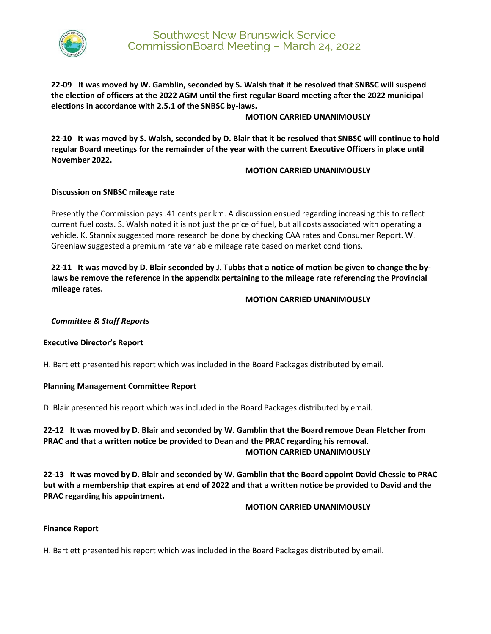

**22-09 It was moved by W. Gamblin, seconded by S. Walsh that it be resolved that SNBSC will suspend the election of officers at the 2022 AGM until the first regular Board meeting after the 2022 municipal elections in accordance with 2.5.1 of the SNBSC by-laws.** 

#### **MOTION CARRIED UNANIMOUSLY**

**22-10 It was moved by S. Walsh, seconded by D. Blair that it be resolved that SNBSC will continue to hold regular Board meetings for the remainder of the year with the current Executive Officers in place until November 2022.** 

## **MOTION CARRIED UNANIMOUSLY**

#### **Discussion on SNBSC mileage rate**

Presently the Commission pays .41 cents per km. A discussion ensued regarding increasing this to reflect current fuel costs. S. Walsh noted it is not just the price of fuel, but all costs associated with operating a vehicle. K. Stannix suggested more research be done by checking CAA rates and Consumer Report. W. Greenlaw suggested a premium rate variable mileage rate based on market conditions.

**22-11 It was moved by D. Blair seconded by J. Tubbs that a notice of motion be given to change the bylaws be remove the reference in the appendix pertaining to the mileage rate referencing the Provincial mileage rates.** 

#### **MOTION CARRIED UNANIMOUSLY**

## *Committee & Staff Reports*

#### **Executive Director's Report**

H. Bartlett presented his report which was included in the Board Packages distributed by email.

#### **Planning Management Committee Report**

D. Blair presented his report which was included in the Board Packages distributed by email.

# **22-12 It was moved by D. Blair and seconded by W. Gamblin that the Board remove Dean Fletcher from PRAC and that a written notice be provided to Dean and the PRAC regarding his removal. MOTION CARRIED UNANIMOUSLY**

**22-13 It was moved by D. Blair and seconded by W. Gamblin that the Board appoint David Chessie to PRAC but with a membership that expires at end of 2022 and that a written notice be provided to David and the PRAC regarding his appointment.**

#### **MOTION CARRIED UNANIMOUSLY**

## **Finance Report**

H. Bartlett presented his report which was included in the Board Packages distributed by email.